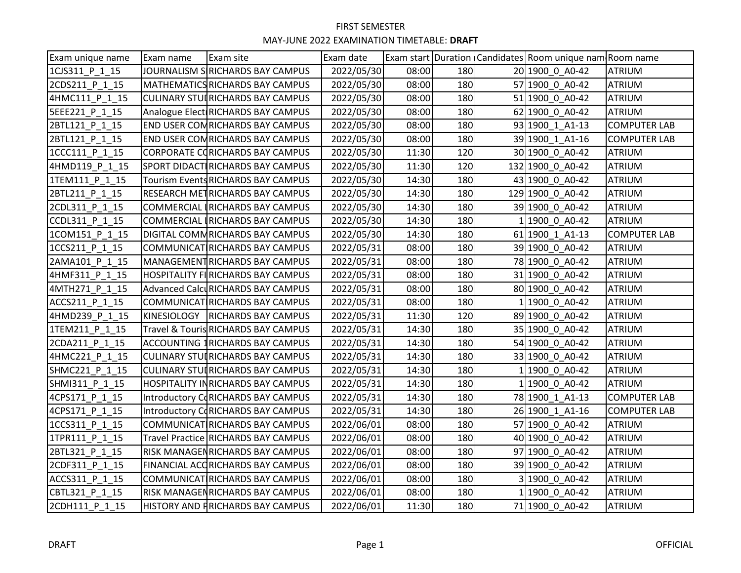| Exam unique name | Exam name | Exam site                                | Exam date  |       |     | Exam start Duration   Candidates   Room unique nam   Room name |                     |
|------------------|-----------|------------------------------------------|------------|-------|-----|----------------------------------------------------------------|---------------------|
| 1CJS311 P 1 15   |           | JOURNALISM SRICHARDS BAY CAMPUS          | 2022/05/30 | 08:00 | 180 | 20 1900 0 A0-42                                                | ATRIUM              |
| 2CDS211 P 1 15   |           | MATHEMATICS RICHARDS BAY CAMPUS          | 2022/05/30 | 08:00 | 180 | 57 1900 0 A0-42                                                | ATRIUM              |
| 4HMC111_P_1 15   |           | <b>CULINARY STUIRICHARDS BAY CAMPUS</b>  | 2022/05/30 | 08:00 | 180 | 51 1900 0 A0-42                                                | ATRIUM              |
| 5EEE221 P 1 15   |           | Analogue Elect RICHARDS BAY CAMPUS       | 2022/05/30 | 08:00 | 180 | 62 1900 0 A0-42                                                | ATRIUM              |
| 2BTL121 P 1 15   |           | END USER COMRICHARDS BAY CAMPUS          | 2022/05/30 | 08:00 | 180 | 93 1900_1_A1-13                                                | <b>COMPUTER LAB</b> |
| 2BTL121 P 1 15   |           | END USER COMRICHARDS BAY CAMPUS          | 2022/05/30 | 08:00 | 180 | 39 1900 1 A1-16                                                | <b>COMPUTER LAB</b> |
| 1CCC111 P 1 15   |           | CORPORATE CORICHARDS BAY CAMPUS          | 2022/05/30 | 11:30 | 120 | 30 1900 0 A0-42                                                | ATRIUM              |
| 4HMD119 P 1 15   |           | SPORT DIDACTIRICHARDS BAY CAMPUS         | 2022/05/30 | 11:30 | 120 | 132 1900 0 A0-42                                               | ATRIUM              |
| 1TEM111_P_1_15   |           | Tourism Events RICHARDS BAY CAMPUS       | 2022/05/30 | 14:30 | 180 | 43 1900 0 A0-42                                                | ATRIUM              |
| 2BTL211_P_1_15   |           | RESEARCH METRICHARDS BAY CAMPUS          | 2022/05/30 | 14:30 | 180 | 129 1900 0 A0-42                                               | <b>ATRIUM</b>       |
| 2CDL311 P 1 15   |           | COMMERCIAL IRICHARDS BAY CAMPUS          | 2022/05/30 | 14:30 | 180 | 39 1900 0 A0-42                                                | ATRIUM              |
| CCDL311 P 1 15   |           | COMMERCIAL RICHARDS BAY CAMPUS           | 2022/05/30 | 14:30 | 180 | 1 1900 0 A0-42                                                 | ATRIUM              |
| 1COM151 P 1 15   |           | DIGITAL COMMRICHARDS BAY CAMPUS          | 2022/05/30 | 14:30 | 180 | 61 1900 1 A1-13                                                | <b>COMPUTER LAB</b> |
| 1CCS211_P_1_15   |           | COMMUNICAT RICHARDS BAY CAMPUS           | 2022/05/31 | 08:00 | 180 | 39 1900 0 A0-42                                                | ATRIUM              |
| 2AMA101 P 1 15   |           | MANAGEMENTRICHARDS BAY CAMPUS            | 2022/05/31 | 08:00 | 180 | 78 1900 0 A0-42                                                | ATRIUM              |
| 4HMF311 P 1 15   |           | <b>HOSPITALITY FIRICHARDS BAY CAMPUS</b> | 2022/05/31 | 08:00 | 180 | 31 1900 0 A0-42                                                | ATRIUM              |
| 4MTH271 P 1 15   |           | Advanced CalcuRICHARDS BAY CAMPUS        | 2022/05/31 | 08:00 | 180 | 80 1900 0 A0-42                                                | ATRIUM              |
| ACCS211 P 1 15   |           | COMMUNICAT RICHARDS BAY CAMPUS           | 2022/05/31 | 08:00 | 180 | 1 1900 0 A0-42                                                 | ATRIUM              |
| 4HMD239 P 1 15   |           | KINESIOLOGY   RICHARDS BAY CAMPUS        | 2022/05/31 | 11:30 | 120 | 89 1900 0 A0-42                                                | ATRIUM              |
| 1TEM211_P_1_15   |           | Travel & Touris RICHARDS BAY CAMPUS      | 2022/05/31 | 14:30 | 180 | 35 1900 0 A0-42                                                | <b>ATRIUM</b>       |
| 2CDA211 P 1 15   |           | <b>ACCOUNTING 1RICHARDS BAY CAMPUS</b>   | 2022/05/31 | 14:30 | 180 | 54 1900 0 A0-42                                                | <b>ATRIUM</b>       |
| 4HMC221 P 1 15   |           | <b>CULINARY STUIRICHARDS BAY CAMPUS</b>  | 2022/05/31 | 14:30 | 180 | 33 1900 0 A0-42                                                | <b>ATRIUM</b>       |
| SHMC221 P 1 15   |           | CULINARY STUIRICHARDS BAY CAMPUS         | 2022/05/31 | 14:30 | 180 | 1 1900 0 A0-42                                                 | ATRIUM              |
| SHMI311 P 1 15   |           | <b>HOSPITALITY INRICHARDS BAY CAMPUS</b> | 2022/05/31 | 14:30 | 180 | 1 1900 0 A0-42                                                 | ATRIUM              |
| 4CPS171 P 1 15   |           | Introductory CoRICHARDS BAY CAMPUS       | 2022/05/31 | 14:30 | 180 | 78 1900 1 A1-13                                                | <b>COMPUTER LAB</b> |
| 4CPS171 P 1 15   |           | Introductory CoRICHARDS BAY CAMPUS       | 2022/05/31 | 14:30 | 180 | 26 1900 1 A1-16                                                | <b>COMPUTER LAB</b> |
| 1CCS311 P 1 15   |           | COMMUNICAT RICHARDS BAY CAMPUS           | 2022/06/01 | 08:00 | 180 | 57 1900 0 A0-42                                                | ATRIUM              |
| 1TPR111 P 1 15   |           | Travel Practice RICHARDS BAY CAMPUS      | 2022/06/01 | 08:00 | 180 | 40 1900 0 A0-42                                                | ATRIUM              |
| 2BTL321 P 1 15   |           | RISK MANAGENRICHARDS BAY CAMPUS          | 2022/06/01 | 08:00 | 180 | 97 1900 0 A0-42                                                | ATRIUM              |
| 2CDF311 P 1 15   |           | FINANCIAL ACCRICHARDS BAY CAMPUS         | 2022/06/01 | 08:00 | 180 | 39 1900 0 A0-42                                                | <b>ATRIUM</b>       |
| ACCS311 P 1 15   |           | COMMUNICAT RICHARDS BAY CAMPUS           | 2022/06/01 | 08:00 | 180 | 3 1900 0 A0-42                                                 | ATRIUM              |
| CBTL321_P_1_15   |           | <b>RISK MANAGENRICHARDS BAY CAMPUS</b>   | 2022/06/01 | 08:00 | 180 | 1 1900 0 A0-42                                                 | ATRIUM              |
| 2CDH111 P 1 15   |           | <b>HISTORY AND FRICHARDS BAY CAMPUS</b>  | 2022/06/01 | 11:30 | 180 | 71 1900 0 A0-42                                                | ATRIUM              |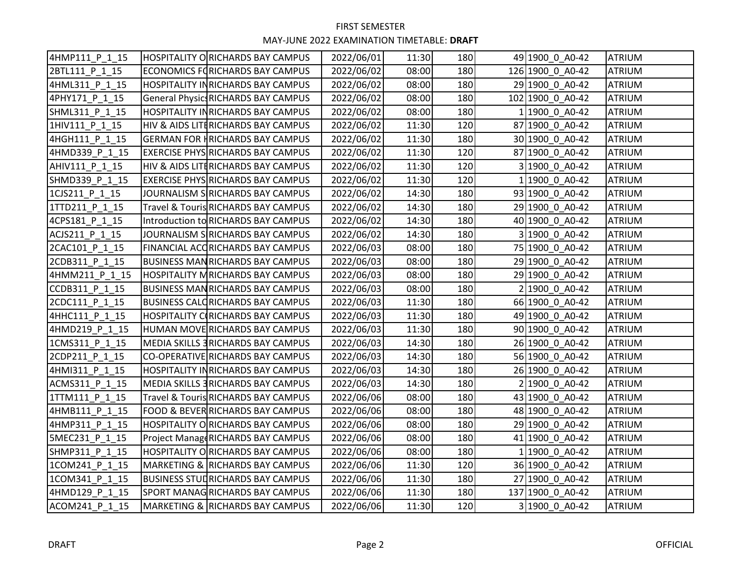| 4HMP111_P_1_15 | HOSPITALITY ORICHARDS BAY CAMPUS           | 2022/06/01 | 11:30 | 180 | 49 1900 0 A0-42  | <b>ATRIUM</b> |
|----------------|--------------------------------------------|------------|-------|-----|------------------|---------------|
| 2BTL111 P 1 15 | <b>ECONOMICS FORICHARDS BAY CAMPUS</b>     | 2022/06/02 | 08:00 | 180 | 126 1900 0 A0-42 | <b>ATRIUM</b> |
| 4HML311 P 1 15 | <b>HOSPITALITY INRICHARDS BAY CAMPUS</b>   | 2022/06/02 | 08:00 | 180 | 29 1900 0 A0-42  | <b>ATRIUM</b> |
| 4PHY171 P 1 15 | <b>General Physics RICHARDS BAY CAMPUS</b> | 2022/06/02 | 08:00 | 180 | 102 1900 0 A0-42 | <b>ATRIUM</b> |
| SHML311 P 1 15 | <b>HOSPITALITY INRICHARDS BAY CAMPUS</b>   | 2022/06/02 | 08:00 | 180 | 1 1900 0 A0-42   | <b>ATRIUM</b> |
| 1HIV111 P 1 15 | HIV & AIDS LITERICHARDS BAY CAMPUS         | 2022/06/02 | 11:30 | 120 | 87 1900 0 A0-42  | <b>ATRIUM</b> |
| 4HGH111 P 1 15 | <b>GERMAN FOR HRICHARDS BAY CAMPUS</b>     | 2022/06/02 | 11:30 | 180 | 30 1900 0 A0-42  | <b>ATRIUM</b> |
| 4HMD339 P 1 15 | <b>EXERCISE PHYS RICHARDS BAY CAMPUS</b>   | 2022/06/02 | 11:30 | 120 | 87 1900 0 A0-42  | <b>ATRIUM</b> |
| AHIV111 P 1 15 | HIV & AIDS LITERICHARDS BAY CAMPUS         | 2022/06/02 | 11:30 | 120 | 3 1900 0 A0-42   | <b>ATRIUM</b> |
| SHMD339 P 1 15 | <b>EXERCISE PHYS RICHARDS BAY CAMPUS</b>   | 2022/06/02 | 11:30 | 120 | 1 1900 0 A0-42   | <b>ATRIUM</b> |
| 1CJS211 P 1 15 | JOURNALISM SIRICHARDS BAY CAMPUS           | 2022/06/02 | 14:30 | 180 | 93 1900 0 A0-42  | <b>ATRIUM</b> |
| 1TTD211 P 1 15 | Travel & Touris RICHARDS BAY CAMPUS        | 2022/06/02 | 14:30 | 180 | 29 1900 0 A0-42  | <b>ATRIUM</b> |
| 4CPS181 P 1 15 | Introduction to RICHARDS BAY CAMPUS        | 2022/06/02 | 14:30 | 180 | 40 1900 0 A0-42  | <b>ATRIUM</b> |
| ACJS211 P 1 15 | JOURNALISM SIRICHARDS BAY CAMPUS           | 2022/06/02 | 14:30 | 180 | 3 1900 0 A0-42   | <b>ATRIUM</b> |
| 2CAC101 P 1 15 | FINANCIAL ACCRICHARDS BAY CAMPUS           | 2022/06/03 | 08:00 | 180 | 75 1900 0 A0-42  | <b>ATRIUM</b> |
| 2CDB311 P 1 15 | <b>BUSINESS MANRICHARDS BAY CAMPUS</b>     | 2022/06/03 | 08:00 | 180 | 29 1900 0 A0-42  | <b>ATRIUM</b> |
| 4HMM211_P_1_15 | <b>HOSPITALITY MRICHARDS BAY CAMPUS</b>    | 2022/06/03 | 08:00 | 180 | 29 1900 0 A0-42  | <b>ATRIUM</b> |
| CCDB311 P 1 15 | <b>BUSINESS MANRICHARDS BAY CAMPUS</b>     | 2022/06/03 | 08:00 | 180 | 2 1900 0 A0-42   | <b>ATRIUM</b> |
| 2CDC111 P 1 15 | <b>BUSINESS CALORICHARDS BAY CAMPUS</b>    | 2022/06/03 | 11:30 | 180 | 66 1900 0 A0-42  | <b>ATRIUM</b> |
| 4HHC111 P 1 15 | <b>HOSPITALITY CORICHARDS BAY CAMPUS</b>   | 2022/06/03 | 11:30 | 180 | 49 1900 0 A0-42  | <b>ATRIUM</b> |
| 4HMD219 P 1 15 | HUMAN MOVE RICHARDS BAY CAMPUS             | 2022/06/03 | 11:30 | 180 | 90 1900 0 A0-42  | <b>ATRIUM</b> |
| 1CMS311 P 1 15 | MEDIA SKILLS 3 RICHARDS BAY CAMPUS         | 2022/06/03 | 14:30 | 180 | 26 1900 0 A0-42  | <b>ATRIUM</b> |
| 2CDP211 P 1 15 | CO-OPERATIVE RICHARDS BAY CAMPUS           | 2022/06/03 | 14:30 | 180 | 56 1900 0 A0-42  | <b>ATRIUM</b> |
| 4HMI311 P 1 15 | <b>HOSPITALITY INRICHARDS BAY CAMPUS</b>   | 2022/06/03 | 14:30 | 180 | 26 1900 0 A0-42  | <b>ATRIUM</b> |
| ACMS311 P 1 15 | MEDIA SKILLS 3 RICHARDS BAY CAMPUS         | 2022/06/03 | 14:30 | 180 | 2 1900 0 A0-42   | <b>ATRIUM</b> |
| 1TTM111 P 1 15 | Travel & Touris RICHARDS BAY CAMPUS        | 2022/06/06 | 08:00 | 180 | 43 1900 0 A0-42  | <b>ATRIUM</b> |
| 4HMB111 P 1 15 | FOOD & BEVER RICHARDS BAY CAMPUS           | 2022/06/06 | 08:00 | 180 | 48 1900 0 A0-42  | <b>ATRIUM</b> |
| 4HMP311_P_1_15 | <b>HOSPITALITY ORICHARDS BAY CAMPUS</b>    | 2022/06/06 | 08:00 | 180 | 29 1900 0 A0-42  | <b>ATRIUM</b> |
| 5MEC231 P 1 15 | Project Manag RICHARDS BAY CAMPUS          | 2022/06/06 | 08:00 | 180 | 41 1900 0 A0-42  | <b>ATRIUM</b> |
| SHMP311 P 1 15 | HOSPITALITY ORICHARDS BAY CAMPUS           | 2022/06/06 | 08:00 | 180 | 1 1900 0 A0-42   | <b>ATRIUM</b> |
| 1COM241 P 1 15 | <b>MARKETING &amp; RICHARDS BAY CAMPUS</b> | 2022/06/06 | 11:30 | 120 | 36 1900 0 A0-42  | <b>ATRIUM</b> |
| 1COM341 P 1 15 | <b>BUSINESS STULIRICHARDS BAY CAMPUS</b>   | 2022/06/06 | 11:30 | 180 | 27 1900 0 A0-42  | <b>ATRIUM</b> |
| 4HMD129 P 1 15 | SPORT MANAGRICHARDS BAY CAMPUS             | 2022/06/06 | 11:30 | 180 | 137 1900 0 A0-42 | <b>ATRIUM</b> |
| ACOM241 P 1 15 | MARKETING & RICHARDS BAY CAMPUS            | 2022/06/06 | 11:30 | 120 | 3 1900 0 A0-42   | <b>ATRIUM</b> |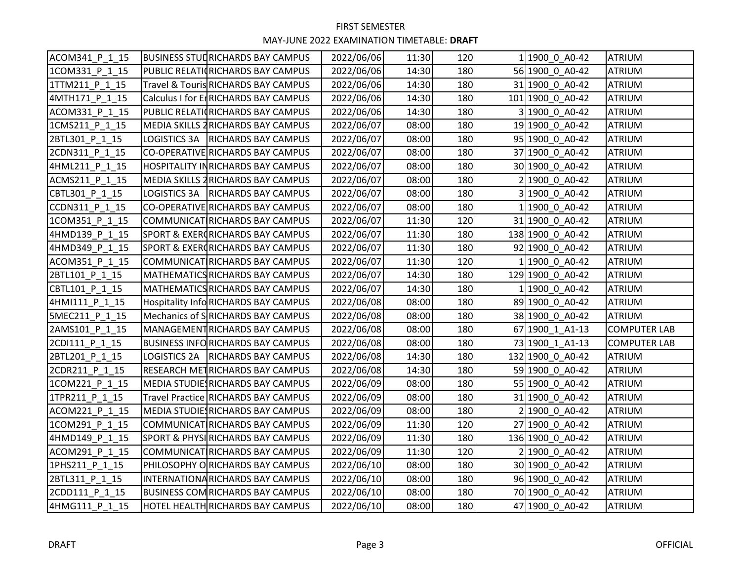| ACOM341 P 1 15 | <b>BUSINESS STUDRICHARDS BAY CAMPUS</b>     | 2022/06/06 | 11:30 | 120 | 1 1900 0 A0-42   | <b>ATRIUM</b>       |
|----------------|---------------------------------------------|------------|-------|-----|------------------|---------------------|
| 1COM331 P 1 15 | PUBLIC RELATIORICHARDS BAY CAMPUS           | 2022/06/06 | 14:30 | 180 | 56 1900 0 A0-42  | <b>ATRIUM</b>       |
| 1TTM211 P 1 15 | Travel & Touris RICHARDS BAY CAMPUS         | 2022/06/06 | 14:30 | 180 | 31 1900 0 A0-42  | <b>ATRIUM</b>       |
| 4MTH171_P_1_15 | Calculus I for EnRICHARDS BAY CAMPUS        | 2022/06/06 | 14:30 | 180 | 101 1900 0 A0-42 | <b>ATRIUM</b>       |
| ACOM331 P 1 15 | PUBLIC RELATIORICHARDS BAY CAMPUS           | 2022/06/06 | 14:30 | 180 | 3 1900 0 A0-42   | <b>ATRIUM</b>       |
| 1CMS211 P 1 15 | MEDIA SKILLS 2 RICHARDS BAY CAMPUS          | 2022/06/07 | 08:00 | 180 | 19 1900 0 A0-42  | <b>ATRIUM</b>       |
| 2BTL301 P 1 15 | LOGISTICS 3A   RICHARDS BAY CAMPUS          | 2022/06/07 | 08:00 | 180 | 95 1900 0 A0-42  | <b>ATRIUM</b>       |
| 2CDN311 P 1 15 | CO-OPERATIVE RICHARDS BAY CAMPUS            | 2022/06/07 | 08:00 | 180 | 37 1900 0 A0-42  | <b>ATRIUM</b>       |
| 4HML211 P 1 15 | <b>HOSPITALITY INRICHARDS BAY CAMPUS</b>    | 2022/06/07 | 08:00 | 180 | 30 1900 0 A0-42  | <b>ATRIUM</b>       |
| ACMS211 P 1 15 | MEDIA SKILLS 2RICHARDS BAY CAMPUS           | 2022/06/07 | 08:00 | 180 | 2 1900 0 A0-42   | <b>ATRIUM</b>       |
| CBTL301 P 1 15 | LOGISTICS 3A RICHARDS BAY CAMPUS            | 2022/06/07 | 08:00 | 180 | 3 1900 0 A0-42   | <b>ATRIUM</b>       |
| CCDN311_P_1_15 | CO-OPERATIVE RICHARDS BAY CAMPUS            | 2022/06/07 | 08:00 | 180 | 1 1900 0 A0-42   | <b>ATRIUM</b>       |
| 1COM351 P 1 15 | COMMUNICAT RICHARDS BAY CAMPUS              | 2022/06/07 | 11:30 | 120 | 31 1900 0 A0-42  | <b>ATRIUM</b>       |
| 4HMD139 P 1 15 | SPORT & EXERORICHARDS BAY CAMPUS            | 2022/06/07 | 11:30 | 180 | 138 1900 0 A0-42 | <b>ATRIUM</b>       |
| 4HMD349_P_1_15 | <b>SPORT &amp; EXERGRICHARDS BAY CAMPUS</b> | 2022/06/07 | 11:30 | 180 | 92 1900 0 A0-42  | <b>ATRIUM</b>       |
| ACOM351 P 1 15 | COMMUNICAT RICHARDS BAY CAMPUS              | 2022/06/07 | 11:30 | 120 | 1 1900_0_A0-42   | <b>ATRIUM</b>       |
| 2BTL101 P 1 15 | MATHEMATICS RICHARDS BAY CAMPUS             | 2022/06/07 | 14:30 | 180 | 129 1900 0 A0-42 | <b>ATRIUM</b>       |
| CBTL101 P 1 15 | MATHEMATICS RICHARDS BAY CAMPUS             | 2022/06/07 | 14:30 | 180 | 1 1900 0 A0-42   | <b>ATRIUM</b>       |
| 4HMI111 P 1 15 | Hospitality InfoRICHARDS BAY CAMPUS         | 2022/06/08 | 08:00 | 180 | 89 1900 0 A0-42  | <b>ATRIUM</b>       |
| 5MEC211 P 1 15 | Mechanics of SRICHARDS BAY CAMPUS           | 2022/06/08 | 08:00 | 180 | 38 1900 0 A0-42  | <b>ATRIUM</b>       |
| 2AMS101_P_1_15 | MANAGEMENT RICHARDS BAY CAMPUS              | 2022/06/08 | 08:00 | 180 | 67 1900 1 A1-13  | <b>COMPUTER LAB</b> |
| 2CDI111 P 1 15 | <b>BUSINESS INFORICHARDS BAY CAMPUS</b>     | 2022/06/08 | 08:00 | 180 | 73 1900 1 A1-13  | <b>COMPUTER LAB</b> |
| 2BTL201 P 1 15 | LOGISTICS 2A RICHARDS BAY CAMPUS            | 2022/06/08 | 14:30 | 180 | 132 1900 0 A0-42 | <b>ATRIUM</b>       |
| 2CDR211 P 1 15 | RESEARCH METRICHARDS BAY CAMPUS             | 2022/06/08 | 14:30 | 180 | 59 1900 0 A0-42  | <b>ATRIUM</b>       |
| 1COM221_P_1_15 | <b>MEDIA STUDIE RICHARDS BAY CAMPUS</b>     | 2022/06/09 | 08:00 | 180 | 55 1900 0 A0-42  | <b>ATRIUM</b>       |
| ITPR211 P 1 15 | Travel Practice RICHARDS BAY CAMPUS         | 2022/06/09 | 08:00 | 180 | 31 1900 0 A0-42  | <b>ATRIUM</b>       |
| ACOM221 P 1 15 | <b>MEDIA STUDIE RICHARDS BAY CAMPUS</b>     | 2022/06/09 | 08:00 | 180 | 2 1900 0 A0-42   | <b>ATRIUM</b>       |
| 1COM291_P_1_15 | COMMUNICAT RICHARDS BAY CAMPUS              | 2022/06/09 | 11:30 | 120 | 27 1900 0 A0-42  | <b>ATRIUM</b>       |
| 4HMD149 P 1 15 | <b>SPORT &amp; PHYSIRICHARDS BAY CAMPUS</b> | 2022/06/09 | 11:30 | 180 | 136 1900 0 A0-42 | <b>ATRIUM</b>       |
| ACOM291 P 1 15 | COMMUNICAT RICHARDS BAY CAMPUS              | 2022/06/09 | 11:30 | 120 | 2 1900 0 A0-42   | <b>ATRIUM</b>       |
| 1PHS211 P 1 15 | PHILOSOPHY ORICHARDS BAY CAMPUS             | 2022/06/10 | 08:00 | 180 | 30 1900 0 A0-42  | <b>ATRIUM</b>       |
| 2BTL311 P 1 15 | INTERNATIONARICHARDS BAY CAMPUS             | 2022/06/10 | 08:00 | 180 | 96 1900 0 A0-42  | <b>ATRIUM</b>       |
| 2CDD111_P_1_15 | <b>BUSINESS COM RICHARDS BAY CAMPUS</b>     | 2022/06/10 | 08:00 | 180 | 70 1900 0 A0-42  | <b>ATRIUM</b>       |
| 4HMG111 P 1 15 | HOTEL HEALTH RICHARDS BAY CAMPUS            | 2022/06/10 | 08:00 | 180 | 47 1900 0 A0-42  | <b>ATRIUM</b>       |